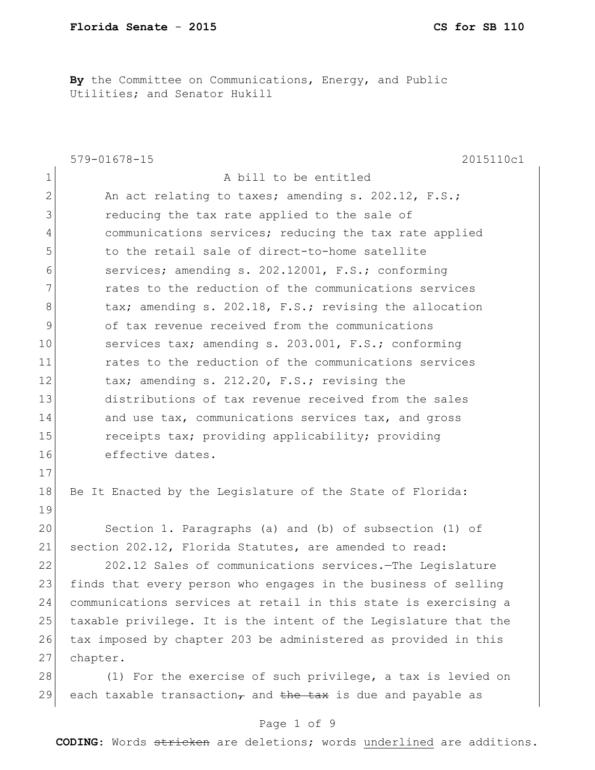**By** the Committee on Communications, Energy, and Public Utilities; and Senator Hukill

|                | $579 - 01678 - 15$<br>2015110c1                                                         |
|----------------|-----------------------------------------------------------------------------------------|
| 1              | A bill to be entitled                                                                   |
| $\overline{2}$ | An act relating to taxes; amending s. 202.12, F.S.;                                     |
| 3              | reducing the tax rate applied to the sale of                                            |
| 4              | communications services; reducing the tax rate applied                                  |
| 5              | to the retail sale of direct-to-home satellite                                          |
| 6              | services; amending s. 202.12001, F.S.; conforming                                       |
| 7              | rates to the reduction of the communications services                                   |
| 8              | tax; amending s. 202.18, F.S.; revising the allocation                                  |
| $\mathcal{G}$  | of tax revenue received from the communications                                         |
| 10             | services tax; amending s. 203.001, F.S.; conforming                                     |
| 11             | rates to the reduction of the communications services                                   |
| 12             | tax; amending s. 212.20, F.S.; revising the                                             |
| 13             | distributions of tax revenue received from the sales                                    |
| 14             | and use tax, communications services tax, and gross                                     |
| 15             | receipts tax; providing applicability; providing                                        |
| 16             | effective dates.                                                                        |
| 17             |                                                                                         |
| 18             | Be It Enacted by the Legislature of the State of Florida:                               |
| 19             |                                                                                         |
| 20             | Section 1. Paragraphs (a) and (b) of subsection (1) of                                  |
| 21             | section 202.12, Florida Statutes, are amended to read:                                  |
| 22             | 202.12 Sales of communications services. The Legislature                                |
| 23             | finds that every person who engages in the business of selling                          |
| 24             | communications services at retail in this state is exercising a                         |
| 25             | taxable privilege. It is the intent of the Legislature that the                         |
| 26             | tax imposed by chapter 203 be administered as provided in this                          |
| 27             | chapter.                                                                                |
| 28             | (1) For the exercise of such privilege, a tax is levied on                              |
| 29             | each taxable transaction <sub><math>\tau</math></sub> and the tax is due and payable as |

# Page 1 of 9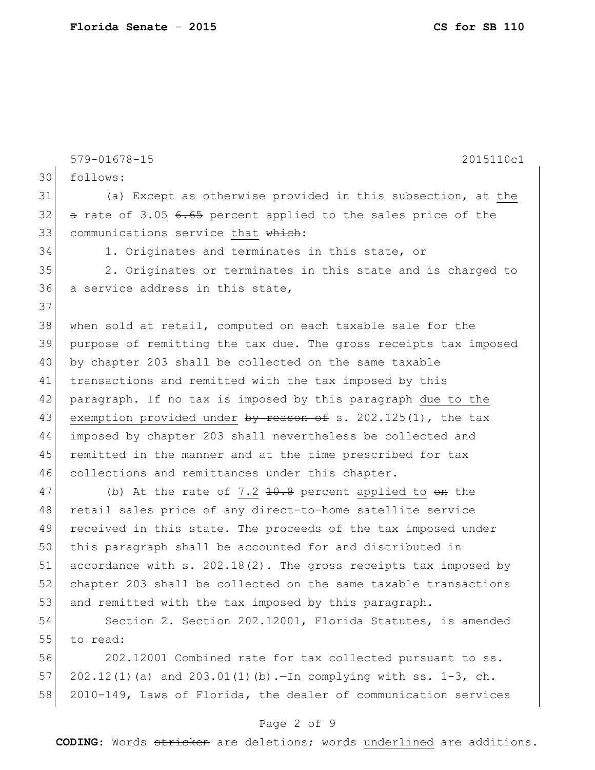579-01678-15 2015110c1 30 follows: 31 (a) Except as otherwise provided in this subsection, at the  $32$  a rate of 3.05 6.65 percent applied to the sales price of the 33 communications service that which: 34 1. Originates and terminates in this state, or 35 2. Originates or terminates in this state and is charged to 36 a service address in this state, 37 38 when sold at retail, computed on each taxable sale for the 39 purpose of remitting the tax due. The gross receipts tax imposed 40 by chapter 203 shall be collected on the same taxable 41 transactions and remitted with the tax imposed by this 42 paragraph. If no tax is imposed by this paragraph due to the 43 exemption provided under by reason of s. 202.125(1), the tax 44 imposed by chapter 203 shall nevertheless be collected and 45 remitted in the manner and at the time prescribed for tax 46 collections and remittances under this chapter. 47 (b) At the rate of 7.2 <del>10.8</del> percent applied to <del>on</del> the 48 retail sales price of any direct-to-home satellite service

49 received in this state. The proceeds of the tax imposed under 50 this paragraph shall be accounted for and distributed in 51 accordance with s. 202.18(2). The gross receipts tax imposed by 52 chapter 203 shall be collected on the same taxable transactions 53 and remitted with the tax imposed by this paragraph.

54 Section 2. Section 202.12001, Florida Statutes, is amended 55 to read:

56 202.12001 Combined rate for tax collected pursuant to ss. 57 202.12(1)(a) and 203.01(1)(b).—In complying with ss. 1-3, ch. 58 2010-149, Laws of Florida, the dealer of communication services

### Page 2 of 9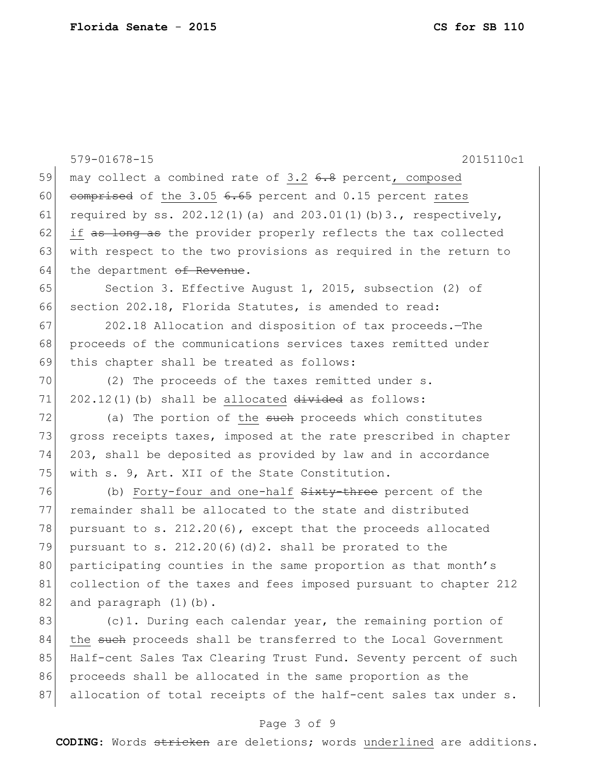|    | $579 - 01678 - 15$<br>2015110c1                                       |
|----|-----------------------------------------------------------------------|
| 59 | may collect a combined rate of 3.2 6.8 percent, composed              |
| 60 | comprised of the 3.05 6.65 percent and 0.15 percent rates             |
| 61 | required by ss. $202.12(1)$ (a) and $203.01(1)$ (b) 3., respectively, |
| 62 | if as long as the provider properly reflects the tax collected        |
| 63 | with respect to the two provisions as required in the return to       |
| 64 | the department of Revenue.                                            |
| 65 | Section 3. Effective August 1, 2015, subsection (2) of                |
| 66 | section 202.18, Florida Statutes, is amended to read:                 |
| 67 | 202.18 Allocation and disposition of tax proceeds. - The              |
| 68 | proceeds of the communications services taxes remitted under          |
| 69 | this chapter shall be treated as follows:                             |
| 70 | (2) The proceeds of the taxes remitted under s.                       |
| 71 | $202.12(1)$ (b) shall be allocated $divided$ as follows:              |
| 72 | (a) The portion of the such proceeds which constitutes                |
| 73 | gross receipts taxes, imposed at the rate prescribed in chapter       |
| 74 | 203, shall be deposited as provided by law and in accordance          |
| 75 | with s. 9, Art. XII of the State Constitution.                        |
| 76 | (b) Forty-four and one-half Sixty-three percent of the                |
| 77 | remainder shall be allocated to the state and distributed             |
| 78 | pursuant to s. $212.20(6)$ , except that the proceeds allocated       |
| 79 | pursuant to s. $212.20(6)(d)2$ . shall be prorated to the             |
| 80 | participating counties in the same proportion as that month's         |
| 81 | collection of the taxes and fees imposed pursuant to chapter 212      |
| 82 | and paragraph (1)(b).                                                 |
| 83 | (c)1. During each calendar year, the remaining portion of             |
| 84 | the such proceeds shall be transferred to the Local Government        |
| 85 | Half-cent Sales Tax Clearing Trust Fund. Seventy percent of such      |
| 86 | proceeds shall be allocated in the same proportion as the             |
| 87 | allocation of total receipts of the half-cent sales tax under s.      |

# Page 3 of 9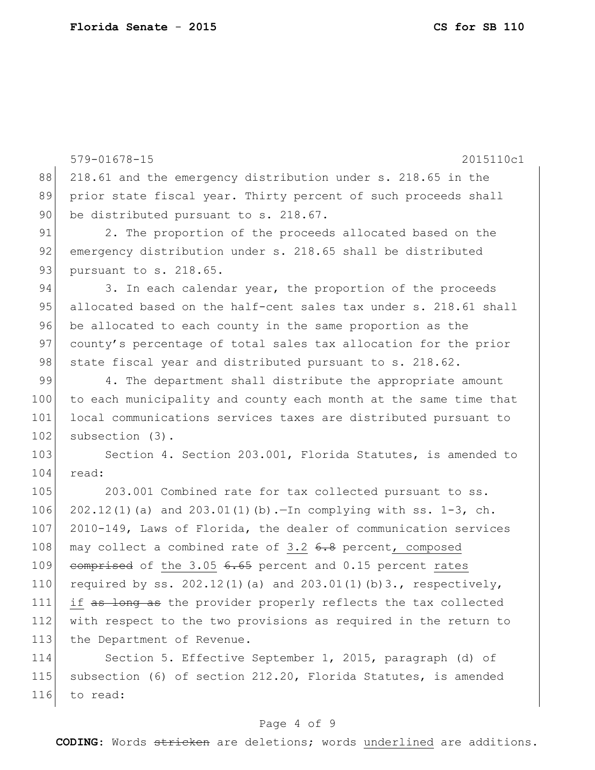116 to read:

579-01678-15 2015110c1 88 218.61 and the emergency distribution under s. 218.65 in the 89 prior state fiscal year. Thirty percent of such proceeds shall 90 be distributed pursuant to s. 218.67. 91 2. The proportion of the proceeds allocated based on the 92 emergency distribution under s. 218.65 shall be distributed 93 pursuant to s. 218.65. 94 3. In each calendar year, the proportion of the proceeds 95 allocated based on the half-cent sales tax under s. 218.61 shall 96 be allocated to each county in the same proportion as the 97 county's percentage of total sales tax allocation for the prior 98 state fiscal year and distributed pursuant to s. 218.62. 99 4. The department shall distribute the appropriate amount 100 to each municipality and county each month at the same time that 101 local communications services taxes are distributed pursuant to 102 subsection (3). 103 Section 4. Section 203.001, Florida Statutes, is amended to 104 read: 105 203.001 Combined rate for tax collected pursuant to ss. 106 202.12(1)(a) and 203.01(1)(b).—In complying with ss. 1-3, ch. 107 2010-149, Laws of Florida, the dealer of communication services 108 may collect a combined rate of 3.2  $6.8$  percent, composed 109 comprised of the  $3.05$   $6.65$  percent and 0.15 percent rates 110 required by ss.  $202.12(1)$  (a) and  $203.01(1)$  (b) 3., respectively, 111 if as long as the provider properly reflects the tax collected 112 with respect to the two provisions as required in the return to 113 the Department of Revenue. 114 Section 5. Effective September 1, 2015, paragraph (d) of 115 subsection (6) of section 212.20, Florida Statutes, is amended

#### Page 4 of 9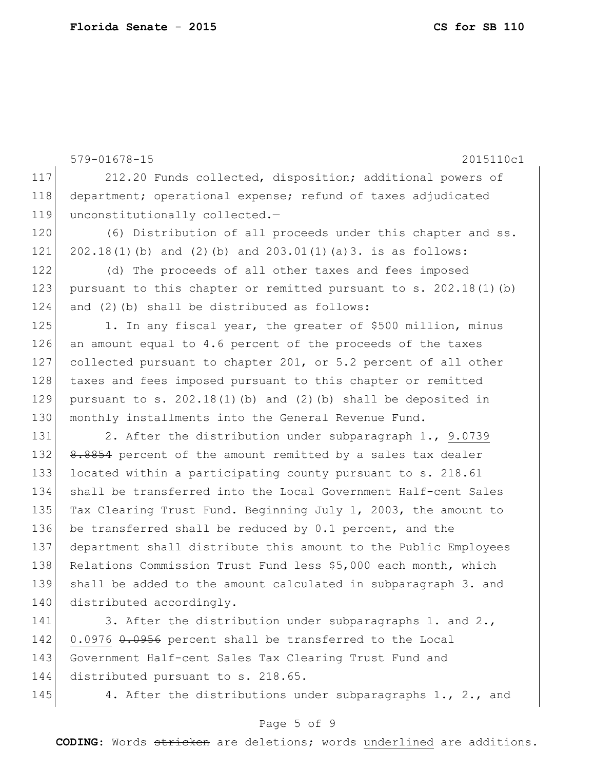579-01678-15 2015110c1 117 212.20 Funds collected, disposition; additional powers of 118 department; operational expense; refund of taxes adjudicated 119 unconstitutionally collected.-120 (6) Distribution of all proceeds under this chapter and ss. 121 202.18(1)(b) and (2)(b) and 203.01(1)(a)3. is as follows: 122 (d) The proceeds of all other taxes and fees imposed 123 pursuant to this chapter or remitted pursuant to s. 202.18(1)(b) 124 and  $(2)$  (b) shall be distributed as follows: 125 1. In any fiscal year, the greater of \$500 million, minus 126 an amount equal to 4.6 percent of the proceeds of the taxes 127 collected pursuant to chapter 201, or 5.2 percent of all other 128 taxes and fees imposed pursuant to this chapter or remitted 129 pursuant to s.  $202.18(1)$  (b) and (2)(b) shall be deposited in 130 monthly installments into the General Revenue Fund. 131 2. After the distribution under subparagraph 1., 9.0739 132 8.8854 percent of the amount remitted by a sales tax dealer 133 located within a participating county pursuant to s. 218.61 134 shall be transferred into the Local Government Half-cent Sales 135 Tax Clearing Trust Fund. Beginning July 1, 2003, the amount to 136 be transferred shall be reduced by 0.1 percent, and the 137 department shall distribute this amount to the Public Employees 138 Relations Commission Trust Fund less \$5,000 each month, which 139 shall be added to the amount calculated in subparagraph 3. and

141 3. After the distribution under subparagraphs 1. and 2., 142 0.0976 0.0956 percent shall be transferred to the Local 143 Government Half-cent Sales Tax Clearing Trust Fund and 144 distributed pursuant to s. 218.65.

140 distributed accordingly.

145 4. After the distributions under subparagraphs 1., 2., and

### Page 5 of 9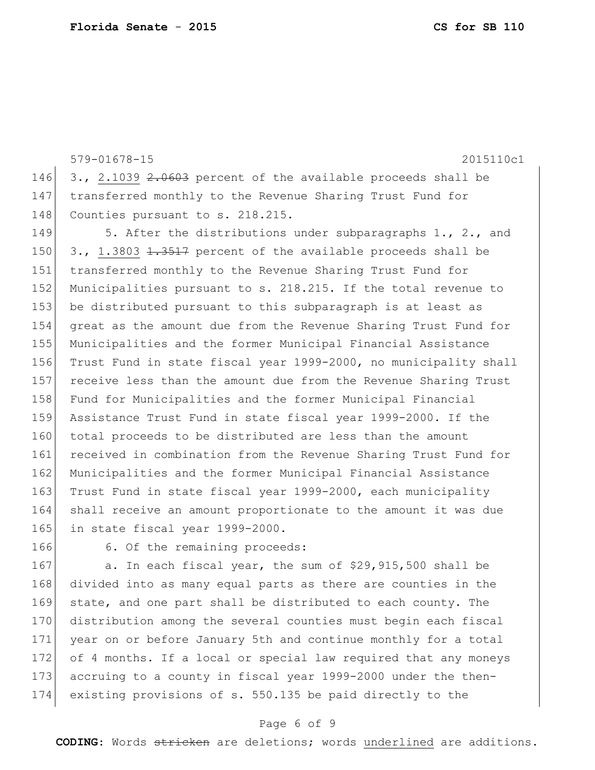579-01678-15 2015110c1 146 3., 2.1039  $2.0603$  percent of the available proceeds shall be 147 transferred monthly to the Revenue Sharing Trust Fund for 148 Counties pursuant to s. 218.215. 149 5. After the distributions under subparagraphs 1., 2., and

 $\mid$  3., 1.3803 <del>1.3517</del> percent of the available proceeds shall be transferred monthly to the Revenue Sharing Trust Fund for 152 Municipalities pursuant to s. 218.215. If the total revenue to be distributed pursuant to this subparagraph is at least as great as the amount due from the Revenue Sharing Trust Fund for Municipalities and the former Municipal Financial Assistance Trust Fund in state fiscal year 1999-2000, no municipality shall receive less than the amount due from the Revenue Sharing Trust 158 Fund for Municipalities and the former Municipal Financial Assistance Trust Fund in state fiscal year 1999-2000. If the 160 total proceeds to be distributed are less than the amount received in combination from the Revenue Sharing Trust Fund for Municipalities and the former Municipal Financial Assistance 163 Trust Fund in state fiscal year 1999-2000, each municipality shall receive an amount proportionate to the amount it was due 165 in state fiscal year 1999-2000.

166 6. Of the remaining proceeds:

167 a. In each fiscal year, the sum of \$29,915,500 shall be divided into as many equal parts as there are counties in the state, and one part shall be distributed to each county. The distribution among the several counties must begin each fiscal year on or before January 5th and continue monthly for a total of 4 months. If a local or special law required that any moneys 173 accruing to a county in fiscal year 1999-2000 under the then-existing provisions of s. 550.135 be paid directly to the

### Page 6 of 9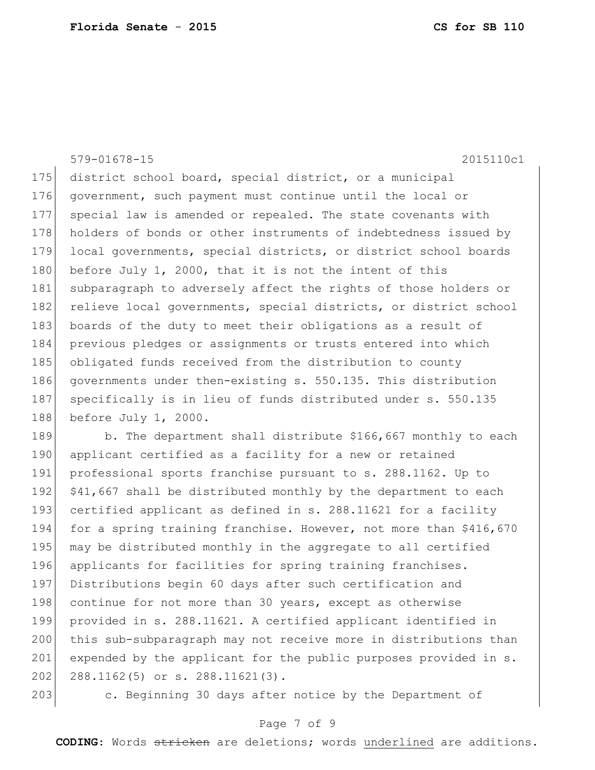579-01678-15 2015110c1

175 district school board, special district, or a municipal 176 government, such payment must continue until the local or 177 special law is amended or repealed. The state covenants with 178 holders of bonds or other instruments of indebtedness issued by 179 local governments, special districts, or district school boards 180 before July 1, 2000, that it is not the intent of this 181 subparagraph to adversely affect the rights of those holders or 182 relieve local governments, special districts, or district school 183 boards of the duty to meet their obligations as a result of 184 previous pledges or assignments or trusts entered into which 185 obligated funds received from the distribution to county 186 governments under then-existing s. 550.135. This distribution 187 specifically is in lieu of funds distributed under s. 550.135 188 before July 1, 2000.

189 b. The department shall distribute \$166,667 monthly to each 190 applicant certified as a facility for a new or retained 191 professional sports franchise pursuant to s. 288.1162. Up to 192  $\mid$  \$41,667 shall be distributed monthly by the department to each 193 certified applicant as defined in s. 288.11621 for a facility 194 for a spring training franchise. However, not more than \$416,670 195 may be distributed monthly in the aggregate to all certified 196 applicants for facilities for spring training franchises. 197 Distributions begin 60 days after such certification and 198 continue for not more than 30 years, except as otherwise 199 provided in s. 288.11621. A certified applicant identified in 200 this sub-subparagraph may not receive more in distributions than 201 expended by the applicant for the public purposes provided in s. 202 288.1162(5) or s. 288.11621(3).

203 c. Beginning 30 days after notice by the Department of

### Page 7 of 9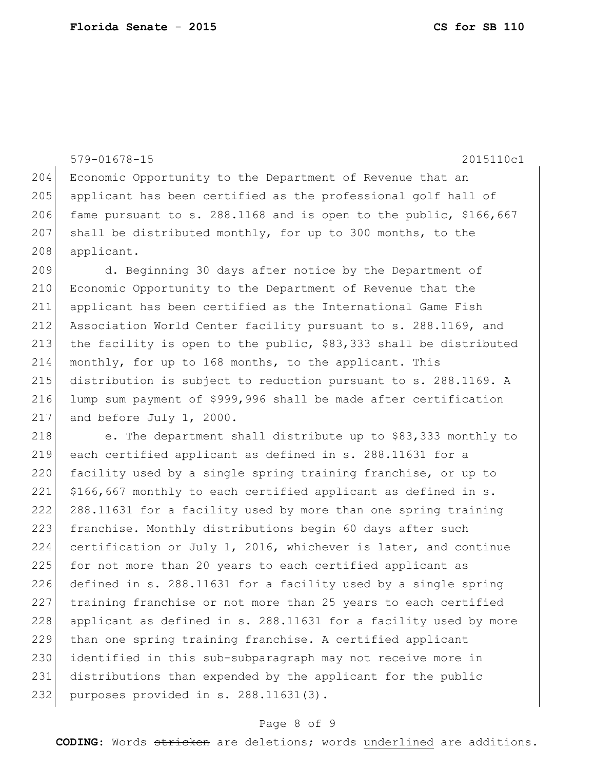```
579-01678-15 2015110c1
204 Economic Opportunity to the Department of Revenue that an
205 applicant has been certified as the professional golf hall of
206 fame pursuant to s. 288.1168 and is open to the public, $166,667
207 shall be distributed monthly, for up to 300 months, to the
208 applicant.
209 d. Beginning 30 days after notice by the Department of 
210 Economic Opportunity to the Department of Revenue that the 
211 applicant has been certified as the International Game Fish 
212 Association World Center facility pursuant to s. 288.1169, and 
213 the facility is open to the public, $83,333 shall be distributed 
214 monthly, for up to 168 months, to the applicant. This 
215 distribution is subject to reduction pursuant to s. 288.1169. A 
216 lump sum payment of $999,996 shall be made after certification 
217 and before July 1, 2000.
218 \vert e. The department shall distribute up to $83,333 monthly to
219 each certified applicant as defined in s. 288.11631 for a 
220 facility used by a single spring training franchise, or up to
221 \mid $166,667 monthly to each certified applicant as defined in s.
222 288.11631 for a facility used by more than one spring training 
223 franchise. Monthly distributions begin 60 days after such
224 certification or July 1, 2016, whichever is later, and continue 
225 for not more than 20 years to each certified applicant as
226 defined in s. 288.11631 for a facility used by a single spring 
227 training franchise or not more than 25 years to each certified 
228 applicant as defined in s. 288.11631 for a facility used by more
229 than one spring training franchise. A certified applicant 
230 identified in this sub-subparagraph may not receive more in 
231 distributions than expended by the applicant for the public 
232 purposes provided in s. 288.11631(3).
```
#### Page 8 of 9